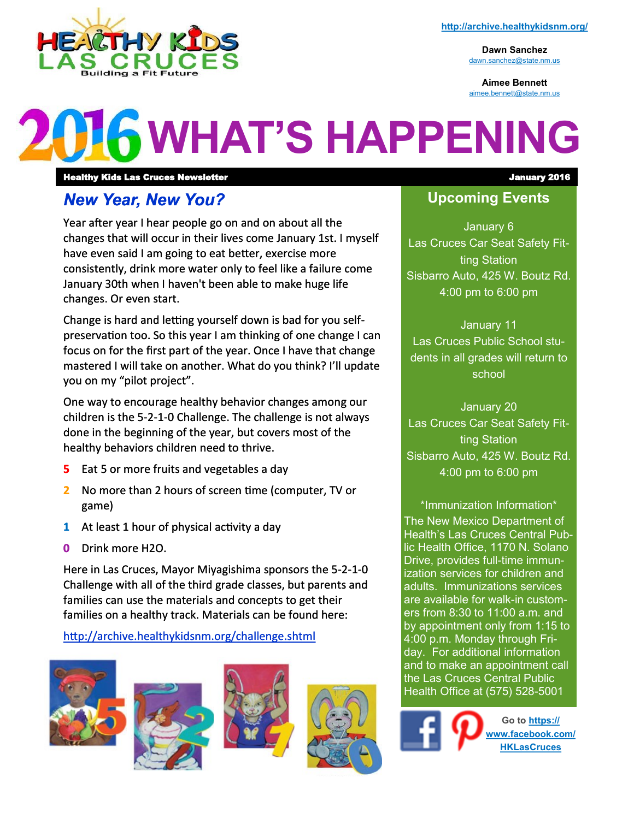

**Dawn Sanchez** [dawn.sanchez@state.nm.us](mailto:dawn.sanchez@state.nm.us)

**Aimee Bennett** [aimee.bennett@state.nm.us](mailto:aimee.bennett@state.nm.us)

# **LG WHAT'S HAPPENING**

Healthy Kids Las Cruces Newsletter January 2016

#### *New Year, New You?*

Year after year I hear people go on and on about all the changes that will occur in their lives come January 1st. I myself have even said I am going to eat better, exercise more consistently, drink more water only to feel like a failure come January 30th when I haven't been able to make huge life changes. Or even start.

Change is hard and letting yourself down is bad for you selfpreservation too. So this year I am thinking of one change I can focus on for the first part of the year. Once I have that change mastered I will take on another. What do you think? I'll update you on my "pilot project".

One way to encourage healthy behavior changes among our children is the 5-2-1-0 Challenge. The challenge is not always done in the beginning of the year, but covers most of the healthy behaviors children need to thrive.

- **5** Eat 5 or more fruits and vegetables a day
- **2** No more than 2 hours of screen time (computer, TV or game)
- **1** At least 1 hour of physical activity a day
- **0** Drink more H2O.

Here in Las Cruces, Mayor Miyagishima sponsors the 5-2-1-0 Challenge with all of the third grade classes, but parents and families can use the materials and concepts to get their families on a healthy track. Materials can be found here:

<http://archive.healthykidsnm.org/challenge.shtml>









#### **Upcoming Events**

January 6 Las Cruces Car Seat Safety Fitting Station Sisbarro Auto, 425 W. Boutz Rd. 4:00 pm to 6:00 pm

January 11 Las Cruces Public School students in all grades will return to school

January 20 Las Cruces Car Seat Safety Fitting Station Sisbarro Auto, 425 W. Boutz Rd. 4:00 pm to 6:00 pm

\*Immunization Information\* The New Mexico Department of Health's Las Cruces Central Public Health Office, 1170 N. Solano Drive, provides full-time immunization services for children and adults. Immunizations services are available for walk-in customers from 8:30 to 11:00 a.m. and by appointment only from 1:15 to 4:00 p.m. Monday through Friday. For additional information and to make an appointment call the Las Cruces Central Public Health Office at (575) 528-5001

> **Go to [https://](https://www.facebook.com/HKLasCruces?ref=hl) [www.facebook.com/](https://www.facebook.com/HKLasCruces?ref=hl) [HKLasCruces](https://www.facebook.com/HKLasCruces?ref=hl)**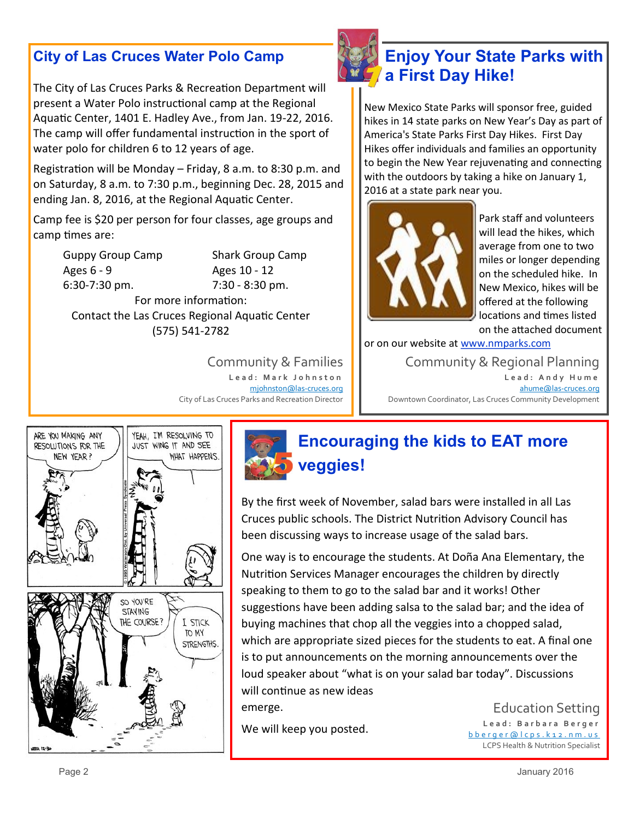#### **City of Las Cruces Water Polo Camp**

The City of Las Cruces Parks & Recreation Department will present a Water Polo instructional camp at the Regional Aquatic Center, 1401 E. Hadley Ave., from Jan. 19-22, 2016. The camp will offer fundamental instruction in the sport of water polo for children 6 to 12 years of age.

Registration will be Monday – Friday, 8 a.m. to 8:30 p.m. and on Saturday, 8 a.m. to 7:30 p.m., beginning Dec. 28, 2015 and ending Jan. 8, 2016, at the Regional Aquatic Center.

Camp fee is \$20 per person for four classes, age groups and camp times are:

| <b>Guppy Group Camp</b> | Shark Group Camp  |
|-------------------------|-------------------|
| Ages $6 - 9$            | Ages 10 - 12      |
| $6:30-7:30$ pm.         | $7:30 - 8:30$ pm. |
|                         |                   |

For more information: Contact the Las Cruces Regional Aquatic Center (575) 541-2782

> Community & Families **L e a d : M a r k J o h n s t o n** [mjohnston@las](mailto:mjohnston@las-cruces.org)-cruces.org City of Las Cruces Parks and Recreation Director



#### **Enjoy Your State Parks with a First Day Hike!**

New Mexico State Parks will sponsor free, guided hikes in 14 state parks on New Year's Day as part of America's State Parks First Day Hikes. First Day Hikes offer individuals and families an opportunity to begin the New Year rejuvenating and connecting with the outdoors by taking a hike on January 1, 2016 at a state park near you.



Park staff and volunteers will lead the hikes, which average from one to two miles or longer depending on the scheduled hike. In New Mexico, hikes will be offered at the following locations and times listed on the attached document

or on our website at [www.nmparks.com](http://www.nmparks.com)

Community & Regional Planning **L e a d : A n d y H u m e** [ahume@las](mailto:ahume@las-cruces.org)-cruces.org Downtown Coordinator, Las Cruces Community Development



### **Encouraging the kids to EAT more veggies!**

By the first week of November, salad bars were installed in all Las Cruces public schools. The District Nutrition Advisory Council has been discussing ways to increase usage of the salad bars.

One way is to encourage the students. At Doña Ana Elementary, the Nutrition Services Manager encourages the children by directly speaking to them to go to the salad bar and it works! Other suggestions have been adding salsa to the salad bar; and the idea of buying machines that chop all the veggies into a chopped salad, which are appropriate sized pieces for the students to eat. A final one is to put announcements on the morning announcements over the loud speaker about "what is on your salad bar today". Discussions will continue as new ideas emerge.

We will keep you posted.

Education Setting **L e a d : B a r b a r a B e r g e r** [b b e r g e r @ l c p s . k 1 2 . n m . u s](mailto:bberger@lcps.k12.nm.us) LCPS Health & Nutrition Specialist